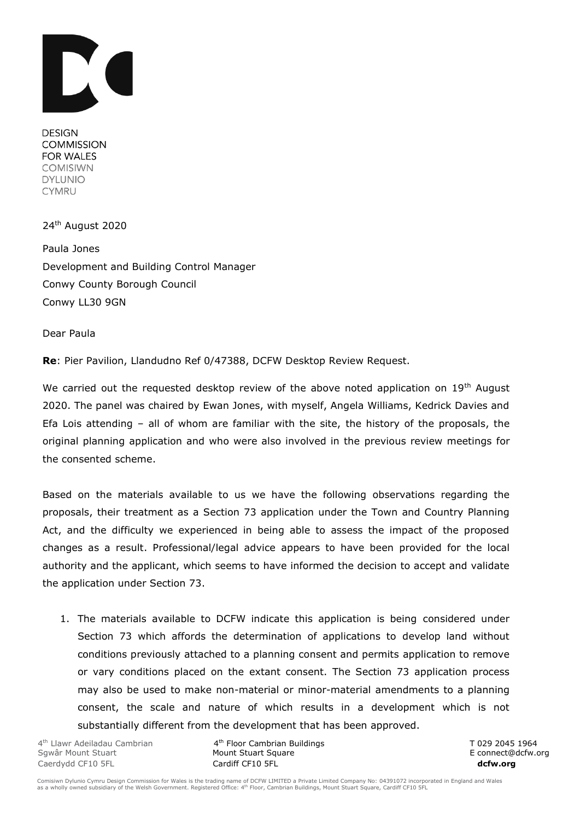

**DESIGN COMMISSION FOR WALES COMISIWN DYLUNIO CYMRU** 

24 th August 2020

Paula Jones Development and Building Control Manager Conwy County Borough Council Conwy LL30 9GN

Dear Paula

**Re**: Pier Pavilion, Llandudno Ref 0/47388, DCFW Desktop Review Request.

We carried out the requested desktop review of the above noted application on 19<sup>th</sup> August 2020. The panel was chaired by Ewan Jones, with myself, Angela Williams, Kedrick Davies and Efa Lois attending – all of whom are familiar with the site, the history of the proposals, the original planning application and who were also involved in the previous review meetings for the consented scheme.

Based on the materials available to us we have the following observations regarding the proposals, their treatment as a Section 73 application under the Town and Country Planning Act, and the difficulty we experienced in being able to assess the impact of the proposed changes as a result. Professional/legal advice appears to have been provided for the local authority and the applicant, which seems to have informed the decision to accept and validate the application under Section 73.

1. The materials available to DCFW indicate this application is being considered under Section 73 which affords the determination of applications to develop land without conditions previously attached to a planning consent and permits application to remove or vary conditions placed on the extant consent. The Section 73 application process may also be used to make non-material or minor-material amendments to a planning consent, the scale and nature of which results in a development which is not substantially different from the development that has been approved.

4<sup>th</sup> Llawr Adeiladau Cambrian **4** Caerdydd CF10 5FL Cardiff CF10 5FL **dcfw.org**

th Floor Cambrian Buildings T 029 2045 1964 Sgwâr Mount Stuart **Mount Stuart Square** Mount Stuart Square E connect@dcfw.org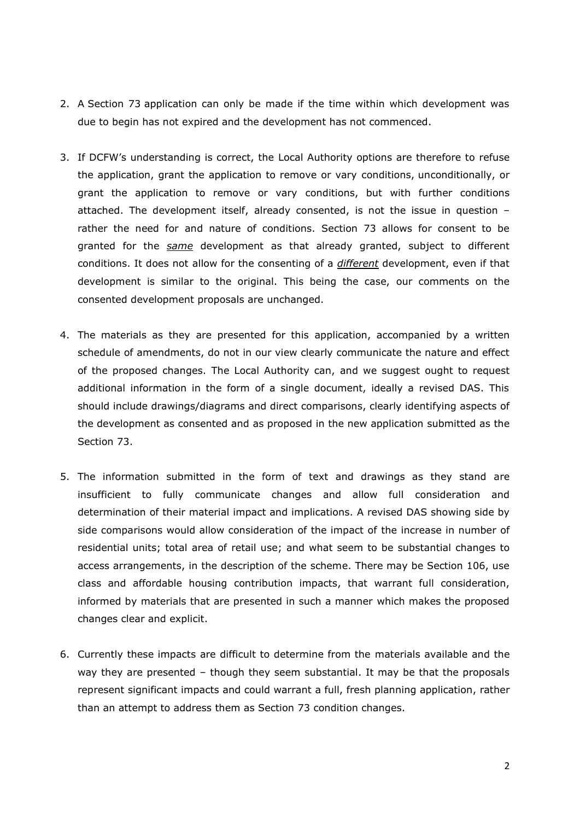- 2. A Section 73 application can only be made if the time within which development was due to begin has not expired and the development has not commenced.
- 3. If DCFW's understanding is correct, the Local Authority options are therefore to refuse the application, grant the application to remove or vary conditions, unconditionally, or grant the application to remove or vary conditions, but with further conditions attached. The development itself, already consented, is not the issue in question – rather the need for and nature of conditions. Section 73 allows for consent to be granted for the *same* development as that already granted, subject to different conditions. It does not allow for the consenting of a *different* development, even if that development is similar to the original. This being the case, our comments on the consented development proposals are unchanged.
- 4. The materials as they are presented for this application, accompanied by a written schedule of amendments, do not in our view clearly communicate the nature and effect of the proposed changes. The Local Authority can, and we suggest ought to request additional information in the form of a single document, ideally a revised DAS. This should include drawings/diagrams and direct comparisons, clearly identifying aspects of the development as consented and as proposed in the new application submitted as the Section 73.
- 5. The information submitted in the form of text and drawings as they stand are insufficient to fully communicate changes and allow full consideration and determination of their material impact and implications. A revised DAS showing side by side comparisons would allow consideration of the impact of the increase in number of residential units; total area of retail use; and what seem to be substantial changes to access arrangements, in the description of the scheme. There may be Section 106, use class and affordable housing contribution impacts, that warrant full consideration, informed by materials that are presented in such a manner which makes the proposed changes clear and explicit.
- 6. Currently these impacts are difficult to determine from the materials available and the way they are presented – though they seem substantial. It may be that the proposals represent significant impacts and could warrant a full, fresh planning application, rather than an attempt to address them as Section 73 condition changes.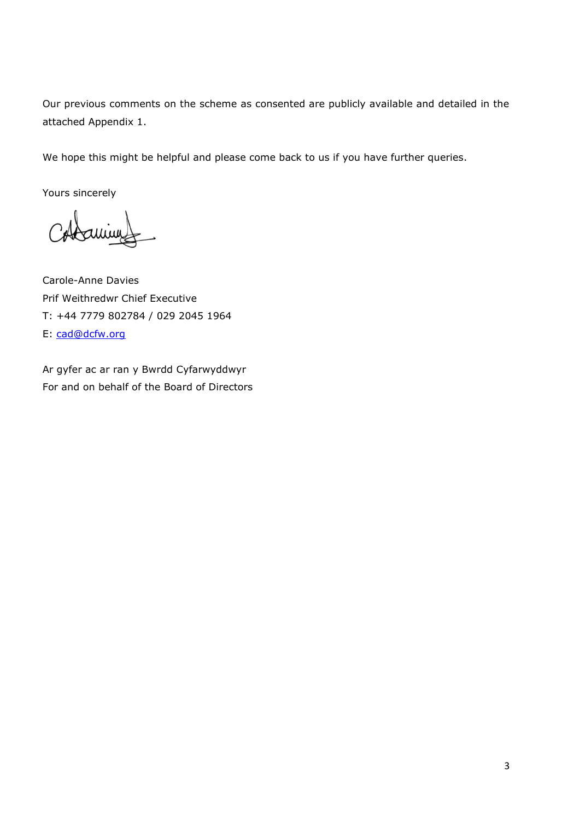Our previous comments on the scheme as consented are publicly available and detailed in the attached Appendix 1.

We hope this might be helpful and please come back to us if you have further queries.

Yours sincerely

Carole-Anne Davies Prif Weithredwr Chief Executive T: +44 7779 802784 / 029 2045 1964 E: [cad@dcfw.org](mailto:cad@dcfw.org)

Ar gyfer ac ar ran y Bwrdd Cyfarwyddwyr For and on behalf of the Board of Directors